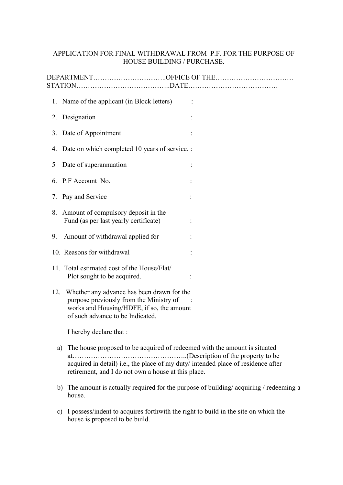## APPLICATION FOR FINAL WITHDRAWAL FROM P.F. FOR THE PURPOSE OF HOUSE BUILDING / PURCHASE.

|     | 1. Name of the applicant (in Block letters)                                                                                                                                                                           |  |
|-----|-----------------------------------------------------------------------------------------------------------------------------------------------------------------------------------------------------------------------|--|
| 2.  | Designation                                                                                                                                                                                                           |  |
|     | 3. Date of Appointment                                                                                                                                                                                                |  |
|     | 4. Date on which completed 10 years of service. :                                                                                                                                                                     |  |
| 5   | Date of superannuation                                                                                                                                                                                                |  |
|     | 6. P.F Account No.                                                                                                                                                                                                    |  |
|     | 7. Pay and Service                                                                                                                                                                                                    |  |
|     | 8. Amount of compulsory deposit in the<br>Fund (as per last yearly certificate)                                                                                                                                       |  |
| 9.  | Amount of withdrawal applied for                                                                                                                                                                                      |  |
|     | 10. Reasons for withdrawal                                                                                                                                                                                            |  |
|     | 11. Total estimated cost of the House/Flat/<br>Plot sought to be acquired.                                                                                                                                            |  |
| 12. | Whether any advance has been drawn for the<br>purpose previously from the Ministry of<br>works and Housing/HDFE, if so, the amount<br>of such advance to be Indicated.                                                |  |
|     | I hereby declare that :                                                                                                                                                                                               |  |
| a)  | The house proposed to be acquired of redeemed with the amount is situated<br>acquired in detail) i.e., the place of my duty/ intended place of residence after<br>retirement, and I do not own a house at this place. |  |
|     | b) The amount is actually required for the purpose of building/acquiring / redeeming a<br>house.                                                                                                                      |  |

c) I possess/indent to acquires forthwith the right to build in the site on which the house is proposed to be build.